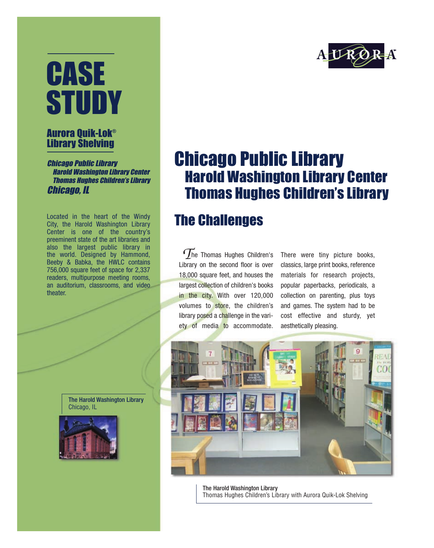# CASE STUDY

#### Aurora Quik-Lok® Library Shelving

Chicago Public Library Harold Washington Library Center Thomas Hughes Children's Library Chicago, IL

Located in the heart of the Windy City, the Harold Washington Library Center is one of the country's preeminent state of the art libraries and also the largest public library in the world. Designed by Hammond, Beeby & Babka, the HWLC contains 756,000 square feet of space for 2,337 readers, multipurpose meeting rooms, an auditorium, classrooms, and video theater.

> The Harold Washington Library Chicago, IL





### Chicago Public Library Harold Washington Library Center Thomas Hughes Children's Library

#### The Challenges

he Thomas Hughes Children's Library on the second floor is over 18,000 square feet, and houses the largest collection of children's books in the city. With over 120,000 volumes to store, the children's library posed a challenge in the variety of media to accommodate. *T*

There were tiny picture books, classics, large print books, reference materials for research projects, popular paperbacks, periodicals, a collection on parenting, plus toys and games. The system had to be cost effective and sturdy, yet aesthetically pleasing.



The Harold Washington Library Thomas Hughes Children's Library with Aurora Quik-Lok Shelving